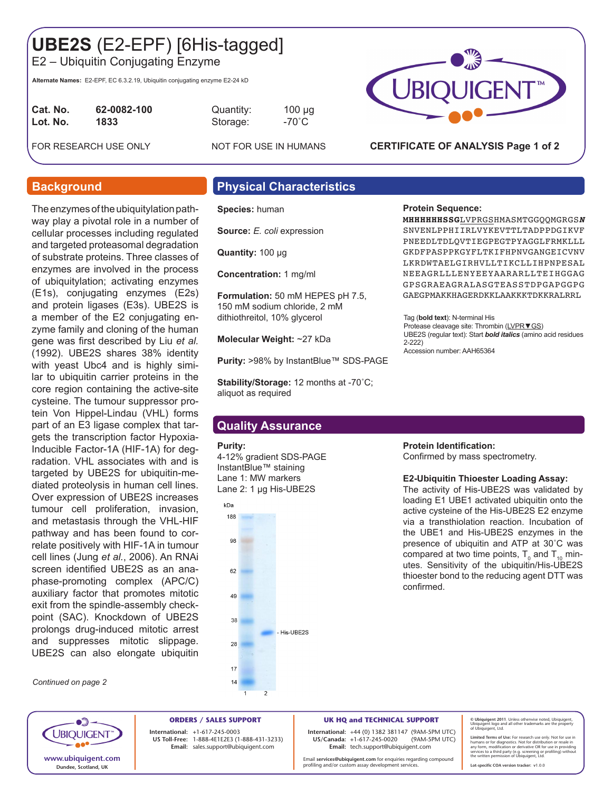# **UBE2S** (E2-EPF) [6His-tagged]

E2 – Ubiquitin Conjugating Enzyme

**Alternate Names:** E2-EPF, EC 6.3.2.19, Ubiquitin conjugating enzyme E2-24 kD

| Cat. No. | 62-0082-100 |
|----------|-------------|
| Lot. No. | 1833        |
|          |             |

**Cat. No. 62-0082-100** Quantity: 100 µg **Lot. No. 1833** Storage: -70˚C

FOR RESEARCH USE ONLY NOT FOR USE IN HUMANS



### **CERTIFICATE OF ANALYSIS Page 1 of 2**

The enzymes of the ubiquitylation pathway play a pivotal role in a number of cellular processes including regulated and targeted proteasomal degradation of substrate proteins. Three classes of enzymes are involved in the process of ubiquitylation; activating enzymes (E1s), conjugating enzymes (E2s) and protein ligases (E3s). UBE2S is a member of the E2 conjugating enzyme family and cloning of the human gene was first described by Liu *et al.* (1992). UBE2S shares 38% identity with yeast Ubc4 and is highly similar to ubiquitin carrier proteins in the core region containing the active-site cysteine. The tumour suppressor protein Von Hippel-Lindau (VHL) forms part of an E3 ligase complex that targets the transcription factor Hypoxia-Inducible Factor-1A (HIF-1A) for degradation. VHL associates with and is targeted by UBE2S for ubiquitin-mediated proteolysis in human cell lines. Over expression of UBE2S increases tumour cell proliferation, invasion, and metastasis through the VHL-HIF pathway and has been found to correlate positively with HIF-1A in tumour cell lines (Jung *et al.*, 2006). An RNAi screen identified UBE2S as an anaphase-promoting complex (APC/C) auxiliary factor that promotes mitotic exit from the spindle-assembly checkpoint (SAC). Knockdown of UBE2S prolongs drug-induced mitotic arrest and suppresses mitotic slippage. UBE2S can also elongate ubiquitin

*Continued on page 2*

# **Background Physical Characteristics**

**Species:** human

**Source:** *E. coli* expression

**Quantity:** 100 μg

**Concentration:** 1 mg/ml

**Formulation:** 50 mM HEPES pH 7.5, 150 mM sodium chloride, 2 mM dithiothreitol, 10% glycerol

**Molecular Weight:** ~27 kDa

**Purity: >98% by InstantBlue™ SDS-PAGE** 

**Stability/Storage:** 12 months at -70˚C; aliquot as required

## **Quality Assurance**

#### **Purity:**

4-12% gradient SDS-PAGE InstantBlue™ staining Lane 1: MW markers Lane 2: 1 µg His-UBE2S



#### **Protein Sequence:**

**MHHHHHHSSG**LVPRGSHMASMTGGQQMGRGS*N* SNVENLPPHIIRLVYKEVTTLTADPPDGIKVF PNEEDLTDLOVTIEGPEGTPYAGGLFRMKLLL GKDFPASPPKGYFLTKIFHPNVGANGEICVNV LKRDWTAELGIRHVLLTIKCLLIHPNPESAL NEEAGRLLLENYEEYAARARLLTEIHGGAG GPSGRAEAGRALASGTEASSTDPGAPGGPG GAEGPMAKKHAGERDKKLAAKKKTDKKRALRRL

Tag (**bold text**): N-terminal His Protease cleavage site: Thrombin (LVPR ▼ GS) UBE2S (regular text): Start *bold italics* (amino acid residues 2-222) Accession number: AAH65364

### **Protein Identification:**

Confirmed by mass spectrometry.

#### **E2-Ubiquitin Thioester Loading Assay:**

The activity of His-UBE2S was validated by loading E1 UBE1 activated ubiquitin onto the active cysteine of the His-UBE2S E2 enzyme via a transthiolation reaction. Incubation of the UBE1 and His-UBE2S enzymes in the presence of ubiquitin and ATP at 30˚C was compared at two time points,  ${\sf T}_{_{0}}$  and  ${\sf T}_{_{10}}$  minutes. Sensitivity of the ubiquitin/His-UBE2S thioester bond to the reducing agent DTT was confirmed.



**ORDERS / SALES SUPPORT International: +**1-617-245-0003 **US Toll-Free:** 1-888-4E1E2E3 (1-888-431-3233) **Email:** sales.support@ubiquigent.com

**UK HQ and TECHNICAL SUPPORT**

**International:** +44 (0) 1382 381147 (9AM-5PM UTC) **US/Canada:** +1-617-245-0020 **Email:** tech.support@ubiquigent.com

Email **services@ubiquigent.com** for enquiries regarding compound profiling and/or custom assay development services.

**© Ubiquigent 2011**. Unless otherwise noted, Ubiquigent, Ubiquigent logo and all other trademarks are the property of Ubiquigent, Ltd.

**Lot-specific COA version tracker: v**1.0.0

Limited Terms of Use: For research use only. Not for use in<br>humans or for diagnostics. Not for distribution or resale in<br>any form, modification or derivative OR for use in providing<br>services to a third party (e.g. screenin